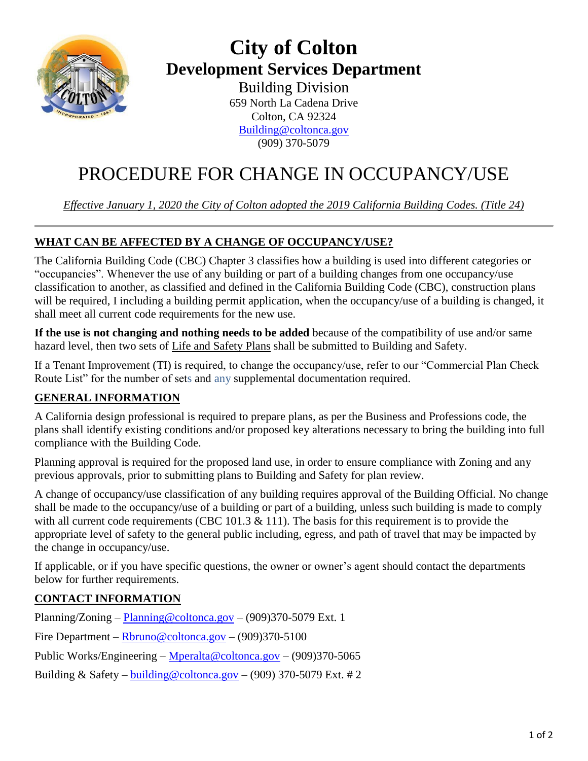

## **City of Colton Development Services Department**

Building Division 659 North La Cadena Drive Colton, CA 92324 [Building@coltonca.gov](mailto:Building@coltonca.gov) (909) 370-5079

# PROCEDURE FOR CHANGE IN OCCUPANCY/USE

*Effective January 1, 2020 the City of Colton adopted the 2019 California Building Codes. (Title 24)*

### **WHAT CAN BE AFFECTED BY A CHANGE OF OCCUPANCY/USE?**

The California Building Code (CBC) Chapter 3 classifies how a building is used into different categories or "occupancies". Whenever the use of any building or part of a building changes from one occupancy/use classification to another, as classified and defined in the California Building Code (CBC), construction plans will be required, I including a building permit application, when the occupancy/use of a building is changed, it shall meet all current code requirements for the new use.

**If the use is not changing and nothing needs to be added** because of the compatibility of use and/or same hazard level, then two sets of Life and Safety Plans shall be submitted to Building and Safety.

If a Tenant Improvement (TI) is required, to change the occupancy/use, refer to our "Commercial Plan Check Route List" for the number of sets and any supplemental documentation required.

### **GENERAL INFORMATION**

A California design professional is required to prepare plans, as per the Business and Professions code, the plans shall identify existing conditions and/or proposed key alterations necessary to bring the building into full compliance with the Building Code.

Planning approval is required for the proposed land use, in order to ensure compliance with Zoning and any previous approvals, prior to submitting plans to Building and Safety for plan review.

A change of occupancy/use classification of any building requires approval of the Building Official. No change shall be made to the occupancy/use of a building or part of a building, unless such building is made to comply with all current code requirements (CBC 101.3  $\&$  111). The basis for this requirement is to provide the appropriate level of safety to the general public including, egress, and path of travel that may be impacted by the change in occupancy/use.

If applicable, or if you have specific questions, the owner or owner's agent should contact the departments below for further requirements.

#### **CONTACT INFORMATION**

Planning/Zoning – [Planning@coltonca.gov](mailto:Planning@coltonca.gov) – (909)370-5079 Ext. 1 Fire Department – [Rbruno@coltonca.gov](mailto:Rbruno@coltonca.gov) – (909)370-5100 Public Works/Engineering – [Mperalta@coltonca.gov](mailto:Mperalta@coltonca.gov) – (909)370-5065 Building & Safety – building @coltonca.gov – (909) 370-5079 Ext. # 2